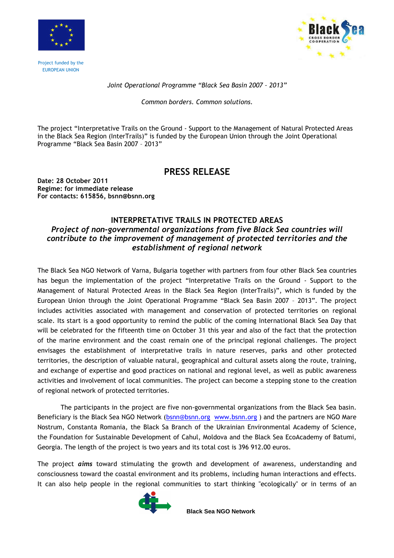

Project funded by the EUROPEAN UNION



## Joint Operational Programme "Black Sea Basin 2007 – 2013"

Common borders. Common solutions.

The project "Interpretative Trails on the Ground - Support to the Management of Natural Protected Areas in the Black Sea Region (InterTrails)" is funded by the European Union through the Joint Operational Programme "Black Sea Basin 2007 – 2013"

## PRESS RELEASE

Date: 28 October 2011 Regime: for immediate release For contacts: 615856, bsnn@bsnn.org

## INTERPRETATIVE TRAILS IN PROTECTED AREAS Project of non-governmental organizations from five Black Sea countries will contribute to the improvement of management of protected territories and the establishment of regional network

The Black Sea NGO Network of Varna, Bulgaria together with partners from four other Black Sea countries has begun the implementation of the project "Interpretative Trails on the Ground - Support to the Management of Natural Protected Areas in the Black Sea Region (InterTrails)", which is funded by the European Union through the Joint Operational Programme "Black Sea Basin 2007 – 2013". The project includes activities associated with management and conservation of protected territories on regional scale. Its start is a good opportunity to remind the public of the coming International Black Sea Day that will be celebrated for the fifteenth time on October 31 this year and also of the fact that the protection of the marine environment and the coast remain one of the principal regional challenges. The project envisages the establishment of interpretative trails in nature reserves, parks and other protected territories, the description of valuable natural, geographical and cultural assets along the route, training, and exchange of expertise and good practices on national and regional level, as well as public awareness activities and involvement of local communities. The project can become a stepping stone to the creation of regional network of protected territories.

The participants in the project are five non-governmental organizations from the Black Sea basin. Beneficiary is the Black Sea NGO Network (bsnn@bsnn.org www.bsnn.org ) and the partners are NGO Mare Nostrum, Constanta Romania, the Black Sa Branch of the Ukrainian Environmental Academy of Science, the Foundation for Sustainable Development of Cahul, Moldova and the Black Sea EcoAcademy of Batumi, Georgia. The length of the project is two years and its total cost is 396 912.00 euros.

The project *aims* toward stimulating the growth and development of awareness, understanding and consciousness toward the coastal environment and its problems, including human interactions and effects. It can also help people in the regional communities to start thinking "ecologically" or in terms of an



**Black Sea NGO Network**